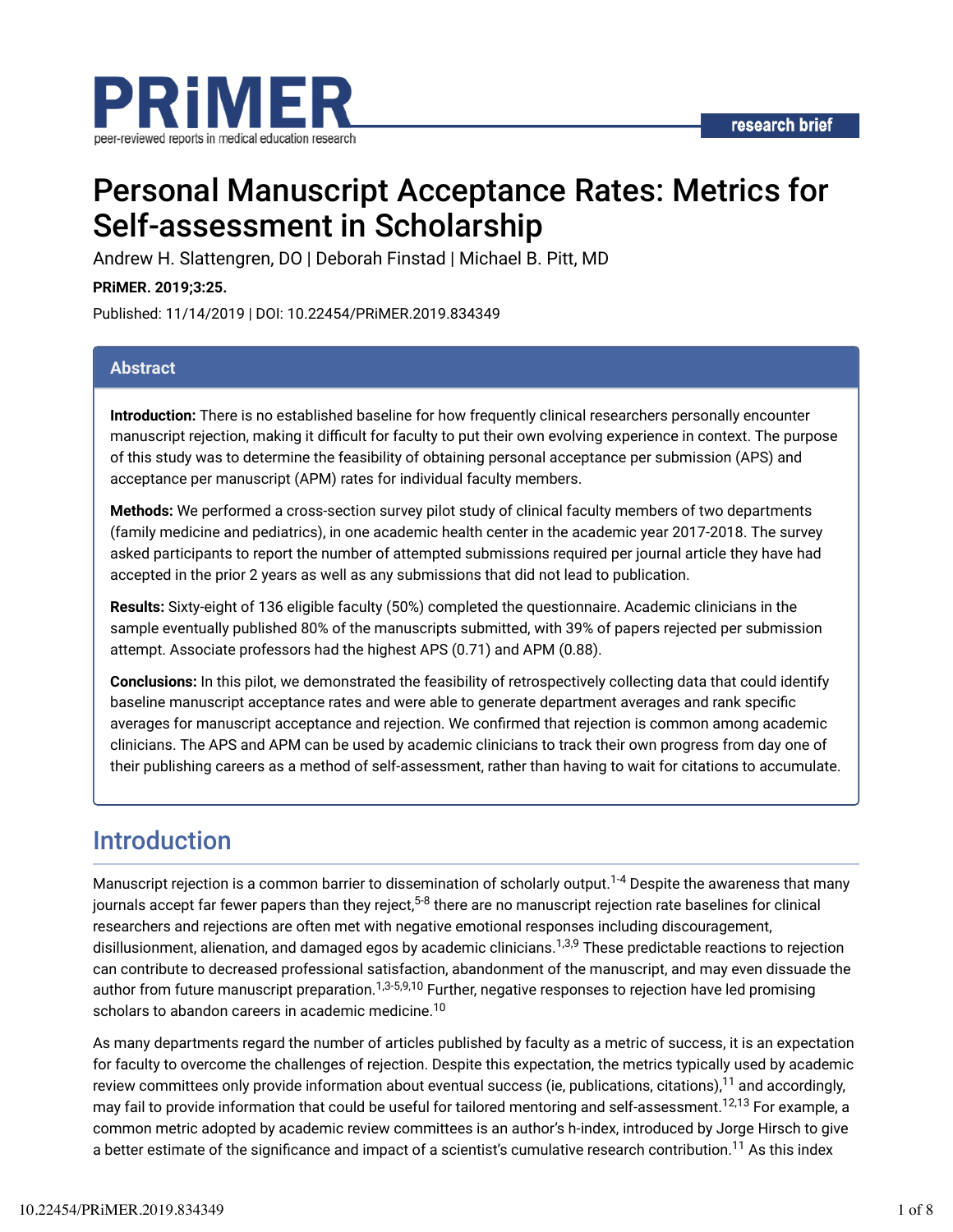

# Personal Manuscript Acceptance Rates: Metrics for Self-assessment in Scholarship

Andrew H. Slattengren, DO | Deborah Finstad | Michael B. Pitt, MD

**PRiMER. 2019;3:25.**

Published: 11/14/2019 | DOI: 10.22454/PRiMER.2019.834349

#### **Abstract**

**Introduction:** There is no established baseline for how frequently clinical researchers personally encounter manuscript rejection, making it difficult for faculty to put their own evolving experience in context. The purpose of this study was to determine the feasibility of obtaining personal acceptance per submission (APS) and acceptance per manuscript (APM) rates for individual faculty members.

**Methods:** We performed a cross-section survey pilot study of clinical faculty members of two departments (family medicine and pediatrics), in one academic health center in the academic year 2017-2018. The survey asked participants to report the number of attempted submissions required per journal article they have had accepted in the prior 2 years as well as any submissions that did not lead to publication.

**Results:** Sixty-eight of 136 eligible faculty (50%) completed the questionnaire. Academic clinicians in the sample eventually published 80% of the manuscripts submitted, with 39% of papers rejected per submission attempt. Associate professors had the highest APS (0.71) and APM (0.88).

**Conclusions:** In this pilot, we demonstrated the feasibility of retrospectively collecting data that could identify baseline manuscript acceptance rates and were able to generate department averages and rank specific averages for manuscript acceptance and rejection. We confirmed that rejection is common among academic clinicians. The APS and APM can be used by academic clinicians to track their own progress from day one of their publishing careers as a method of self-assessment, rather than having to wait for citations to accumulate.

## Introduction

Manuscript rejection is a common barrier to dissemination of scholarly output.<sup>1-4</sup> Despite the awareness that many journals accept far fewer papers than they reject,<sup>5-8</sup> there are no manuscript rejection rate baselines for clinical researchers and rejections are often met with negative emotional responses including discouragement, disillusionment, alienation, and damaged egos by academic clinicians.<sup>1,3,9</sup> These predictable reactions to rejection can contribute to decreased professional satisfaction, abandonment of the manuscript, and may even dissuade the author from future manuscript preparation.<sup>1,3-5,9,10</sup> Further, negative responses to rejection have led promising scholars to abandon careers in academic medicine. 10

As many departments regard the number of articles published by faculty as a metric of success, it is an expectation for faculty to overcome the challenges of rejection. Despite this expectation, the metrics typically used by academic review committees only provide information about eventual success (ie, publications, citations), $^{11}$  and accordingly, may fail to provide information that could be useful for tailored mentoring and self-assessment.<sup>12,13</sup> For example, a common metric adopted by academic review committees is an author's h-index, introduced by Jorge Hirsch to give a better estimate of the significance and impact of a scientist's cumulative research contribution.<sup>11</sup> As this index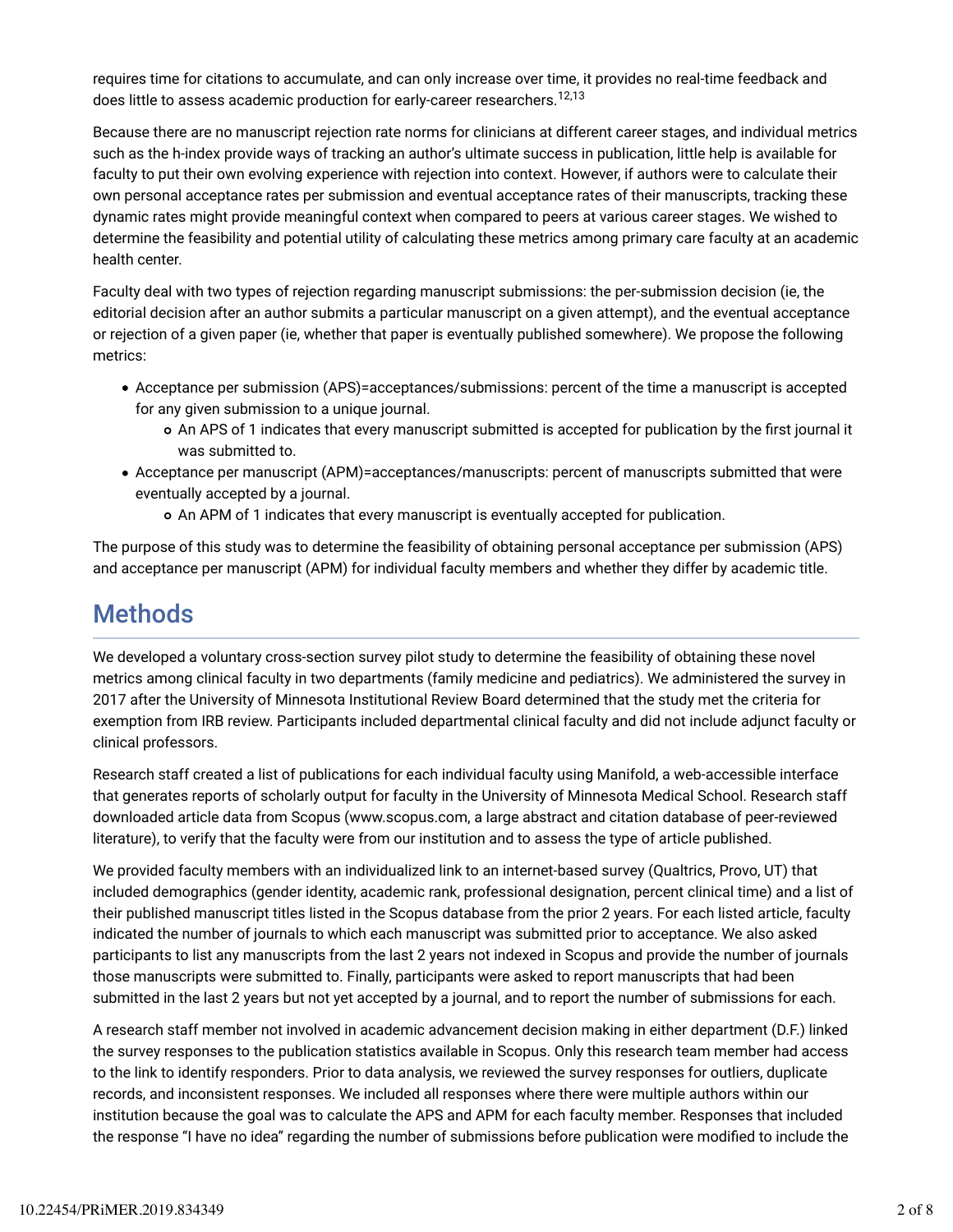requires time for citations to accumulate, and can only increase over time, it provides no real-time feedback and does little to assess academic production for early-career researchers.<sup>12,13</sup>

Because there are no manuscript rejection rate norms for clinicians at different career stages, and individual metrics such as the h*-*index provide ways of tracking an author's ultimate success in publication, little help is available for faculty to put their own evolving experience with rejection into context. However, if authors were to calculate their own personal acceptance rates per submission and eventual acceptance rates of their manuscripts, tracking these dynamic rates might provide meaningful context when compared to peers at various career stages. We wished to determine the feasibility and potential utility of calculating these metrics among primary care faculty at an academic health center.

Faculty deal with two types of rejection regarding manuscript submissions: the per-submission decision (ie, the editorial decision after an author submits a particular manuscript on a given attempt), and the eventual acceptance or rejection of a given paper (ie, whether that paper is eventually published somewhere). We propose the following metrics:

- Acceptance per submission (APS)=acceptances/submissions: percent of the time a manuscript is accepted for any given submission to a unique journal.
	- o An APS of 1 indicates that every manuscript submitted is accepted for publication by the first journal it was submitted to.
- Acceptance per manuscript (APM)=acceptances/manuscripts: percent of manuscripts submitted that were eventually accepted by a journal.
	- An APM of 1 indicates that every manuscript is eventually accepted for publication.

The purpose of this study was to determine the feasibility of obtaining personal acceptance per submission (APS) and acceptance per manuscript (APM) for individual faculty members and whether they differ by academic title.

## Methods

We developed a voluntary cross-section survey pilot study to determine the feasibility of obtaining these novel metrics among clinical faculty in two departments (family medicine and pediatrics). We administered the survey in 2017 after the University of Minnesota Institutional Review Board determined that the study met the criteria for exemption from IRB review. Participants included departmental clinical faculty and did not include adjunct faculty or clinical professors.

Research staff created a list of publications for each individual faculty using Manifold, a web-accessible interface that generates reports of scholarly output for faculty in the University of Minnesota Medical School. Research staff downloaded article data from Scopus (www.scopus.com, a large abstract and citation database of peer-reviewed literature), to verify that the faculty were from our institution and to assess the type of article published.

We provided faculty members with an individualized link to an internet-based survey (Qualtrics, Provo, UT) that included demographics (gender identity, academic rank, professional designation, percent clinical time) and a list of their published manuscript titles listed in the Scopus database from the prior 2 years. For each listed article, faculty indicated the number of journals to which each manuscript was submitted prior to acceptance. We also asked participants to list any manuscripts from the last 2 years not indexed in Scopus and provide the number of journals those manuscripts were submitted to. Finally, participants were asked to report manuscripts that had been submitted in the last 2 years but not yet accepted by a journal, and to report the number of submissions for each.

A research staff member not involved in academic advancement decision making in either department (D.F.) linked the survey responses to the publication statistics available in Scopus. Only this research team member had access to the link to identify responders. Prior to data analysis, we reviewed the survey responses for outliers, duplicate records, and inconsistent responses. We included all responses where there were multiple authors within our institution because the goal was to calculate the APS and APM for each faculty member. Responses that included the response "I have no idea" regarding the number of submissions before publication were modified to include the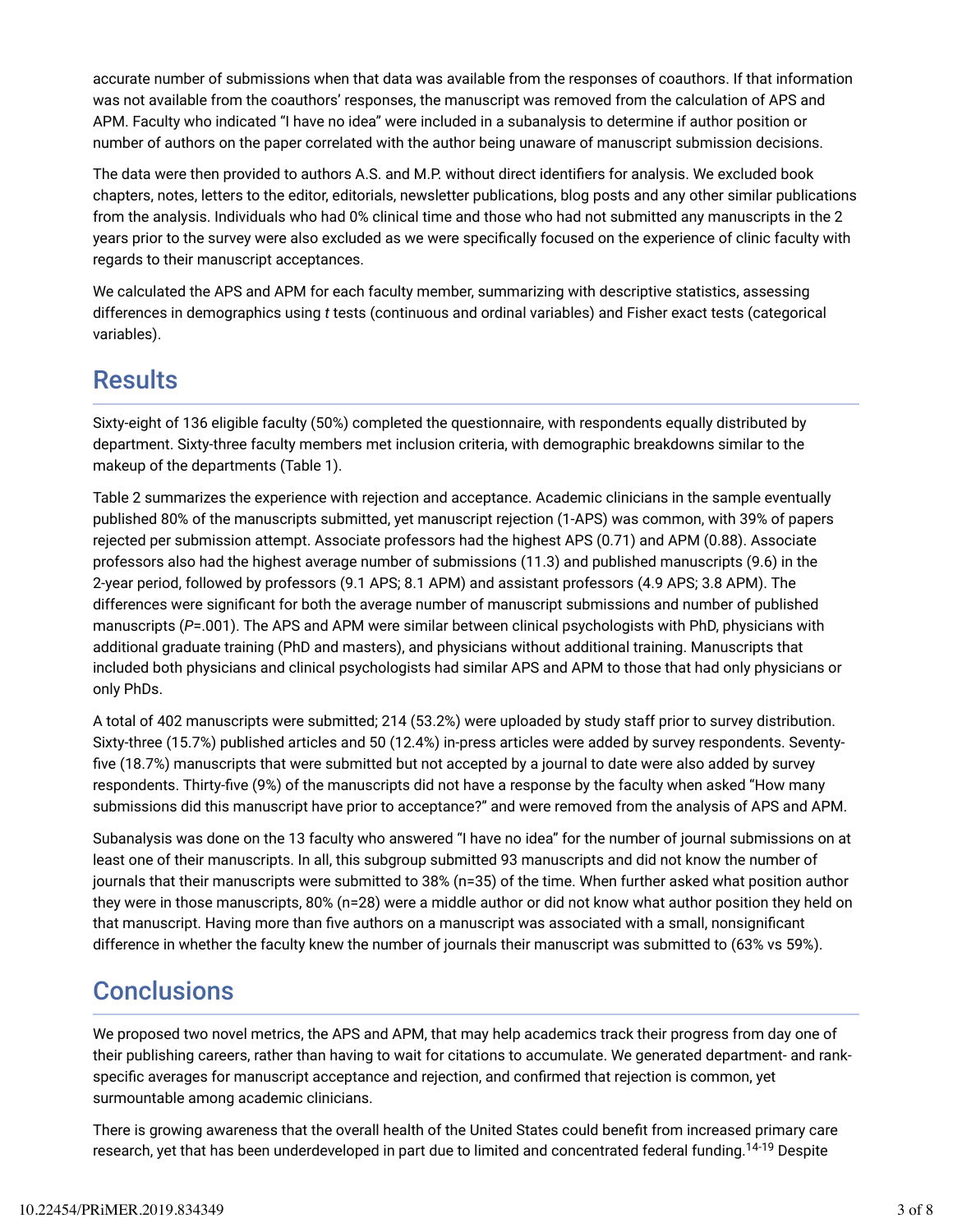accurate number of submissions when that data was available from the responses of coauthors. If that information was not available from the coauthors' responses, the manuscript was removed from the calculation of APS and APM. Faculty who indicated "I have no idea" were included in a subanalysis to determine if author position or number of authors on the paper correlated with the author being unaware of manuscript submission decisions.

The data were then provided to authors A.S. and M.P. without direct identifiers for analysis. We excluded book chapters, notes, letters to the editor, editorials, newsletter publications, blog posts and any other similar publications from the analysis. Individuals who had 0% clinical time and those who had not submitted any manuscripts in the 2 years prior to the survey were also excluded as we were specifically focused on the experience of clinic faculty with regards to their manuscript acceptances.

We calculated the APS and APM for each faculty member, summarizing with descriptive statistics, assessing differences in demographics using *t* tests (continuous and ordinal variables) and Fisher exact tests (categorical variables).

## **Results**

Sixty-eight of 136 eligible faculty (50%) completed the questionnaire, with respondents equally distributed by department. Sixty-three faculty members met inclusion criteria, with demographic breakdowns similar to the makeup of the departments (Table 1).

Table 2 summarizes the experience with rejection and acceptance. Academic clinicians in the sample eventually published 80% of the manuscripts submitted, yet manuscript rejection (1-APS) was common, with 39% of papers rejected per submission attempt. Associate professors had the highest APS (0.71) and APM (0.88). Associate professors also had the highest average number of submissions (11.3) and published manuscripts (9.6) in the 2-year period, followed by professors (9.1 APS; 8.1 APM) and assistant professors (4.9 APS; 3.8 APM). The differences were significant for both the average number of manuscript submissions and number of published manuscripts (*P*=.001). The APS and APM were similar between clinical psychologists with PhD, physicians with additional graduate training (PhD and masters), and physicians without additional training. Manuscripts that included both physicians and clinical psychologists had similar APS and APM to those that had only physicians or only PhDs.

A total of 402 manuscripts were submitted; 214 (53.2%) were uploaded by study staff prior to survey distribution. Sixty-three (15.7%) published articles and 50 (12.4%) in-press articles were added by survey respondents. Seventy five (18.7%) manuscripts that were submitted but not accepted by a journal to date were also added by survey respondents. Thirty-five (9%) of the manuscripts did not have a response by the faculty when asked "How many submissions did this manuscript have prior to acceptance?" and were removed from the analysis of APS and APM.

Subanalysis was done on the 13 faculty who answered "I have no idea" for the number of journal submissions on at least one of their manuscripts. In all, this subgroup submitted 93 manuscripts and did not know the number of journals that their manuscripts were submitted to 38% (n=35) of the time. When further asked what position author they were in those manuscripts, 80% (n=28) were a middle author or did not know what author position they held on that manuscript. Having more than five authors on a manuscript was associated with a small, nonsignificant difference in whether the faculty knew the number of journals their manuscript was submitted to (63% vs 59%).

## **Conclusions**

We proposed two novel metrics, the APS and APM, that may help academics track their progress from day one of their publishing careers, rather than having to wait for citations to accumulate. We generated department- and rankspecific averages for manuscript acceptance and rejection, and confirmed that rejection is common, yet surmountable among academic clinicians.

There is growing awareness that the overall health of the United States could benefit from increased primary care research, yet that has been underdeveloped in part due to limited and concentrated federal funding.<sup>14-19</sup> Despite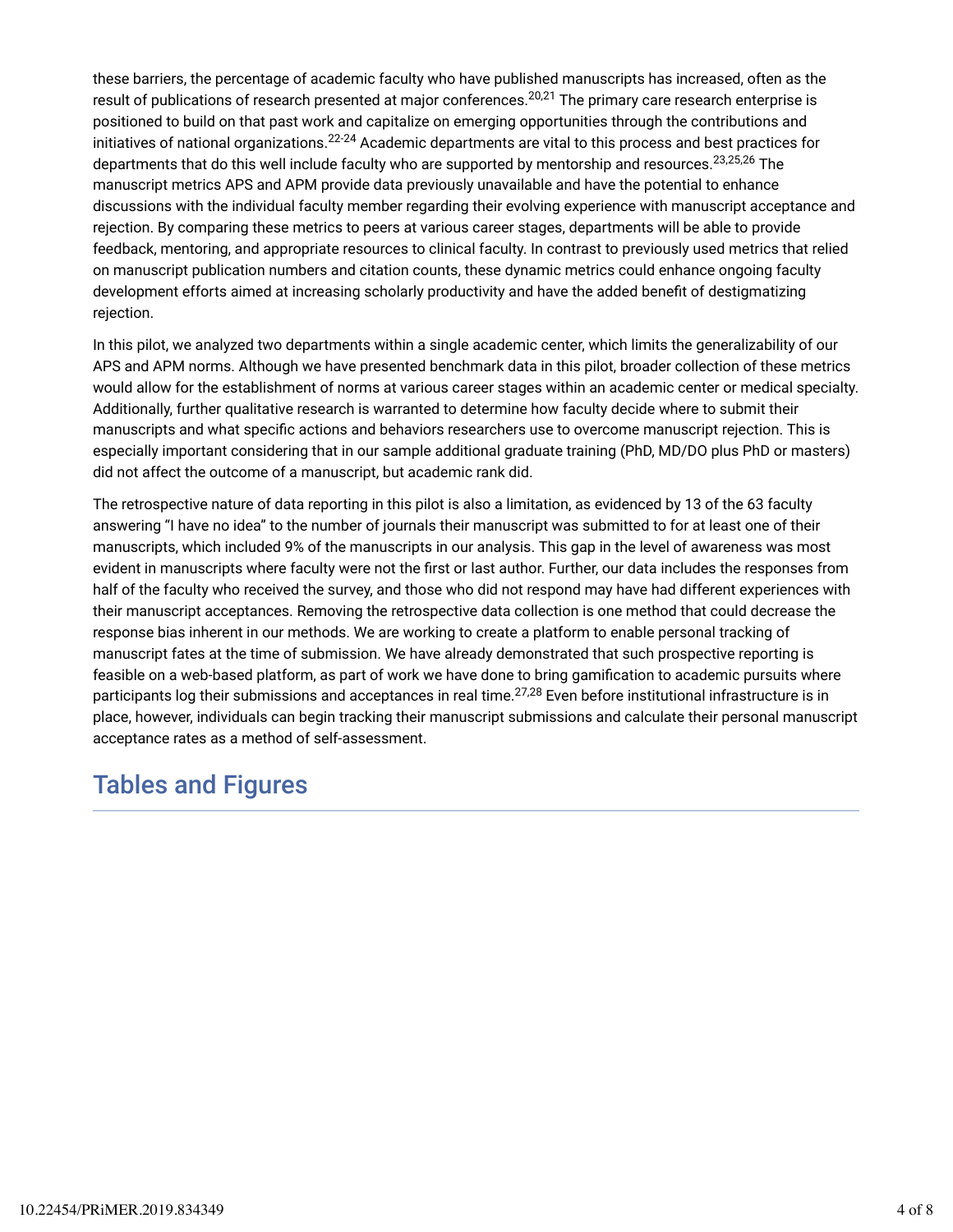these barriers, the percentage of academic faculty who have published manuscripts has increased, often as the result of publications of research presented at major conferences.<sup>20,21</sup> The primary care research enterprise is positioned to build on that past work and capitalize on emerging opportunities through the contributions and initiatives of national organizations. $^{22\text{-}24}$  Academic departments are vital to this process and best practices for departments that do this well include faculty who are supported by mentorship and resources.<sup>23,25,26</sup> The manuscript metrics APS and APM provide data previously unavailable and have the potential to enhance discussions with the individual faculty member regarding their evolving experience with manuscript acceptance and rejection. By comparing these metrics to peers at various career stages, departments will be able to provide feedback, mentoring, and appropriate resources to clinical faculty. In contrast to previously used metrics that relied on manuscript publication numbers and citation counts, these dynamic metrics could enhance ongoing faculty development efforts aimed at increasing scholarly productivity and have the added benefit of destigmatizing rejection.

In this pilot, we analyzed two departments within a single academic center, which limits the generalizability of our APS and APM norms. Although we have presented benchmark data in this pilot, broader collection of these metrics would allow for the establishment of norms at various career stages within an academic center or medical specialty. Additionally, further qualitative research is warranted to determine how faculty decide where to submit their manuscripts and what specific actions and behaviors researchers use to overcome manuscript rejection. This is especially important considering that in our sample additional graduate training (PhD, MD/DO plus PhD or masters) did not affect the outcome of a manuscript, but academic rank did.

The retrospective nature of data reporting in this pilot is also a limitation, as evidenced by 13 of the 63 faculty answering "I have no idea" to the number of journals their manuscript was submitted to for at least one of their manuscripts, which included 9% of the manuscripts in our analysis. This gap in the level of awareness was most evident in manuscripts where faculty were not the first or last author. Further, our data includes the responses from half of the faculty who received the survey, and those who did not respond may have had different experiences with their manuscript acceptances. Removing the retrospective data collection is one method that could decrease the response bias inherent in our methods. We are working to create a platform to enable personal tracking of manuscript fates at the time of submission. We have already demonstrated that such prospective reporting is feasible on a web-based platform, as part of work we have done to bring gamification to academic pursuits where participants log their submissions and acceptances in real time.<sup>27,28</sup> Even before institutional infrastructure is in place, however, individuals can begin tracking their manuscript submissions and calculate their personal manuscript acceptance rates as a method of self-assessment.

## Tables and Figures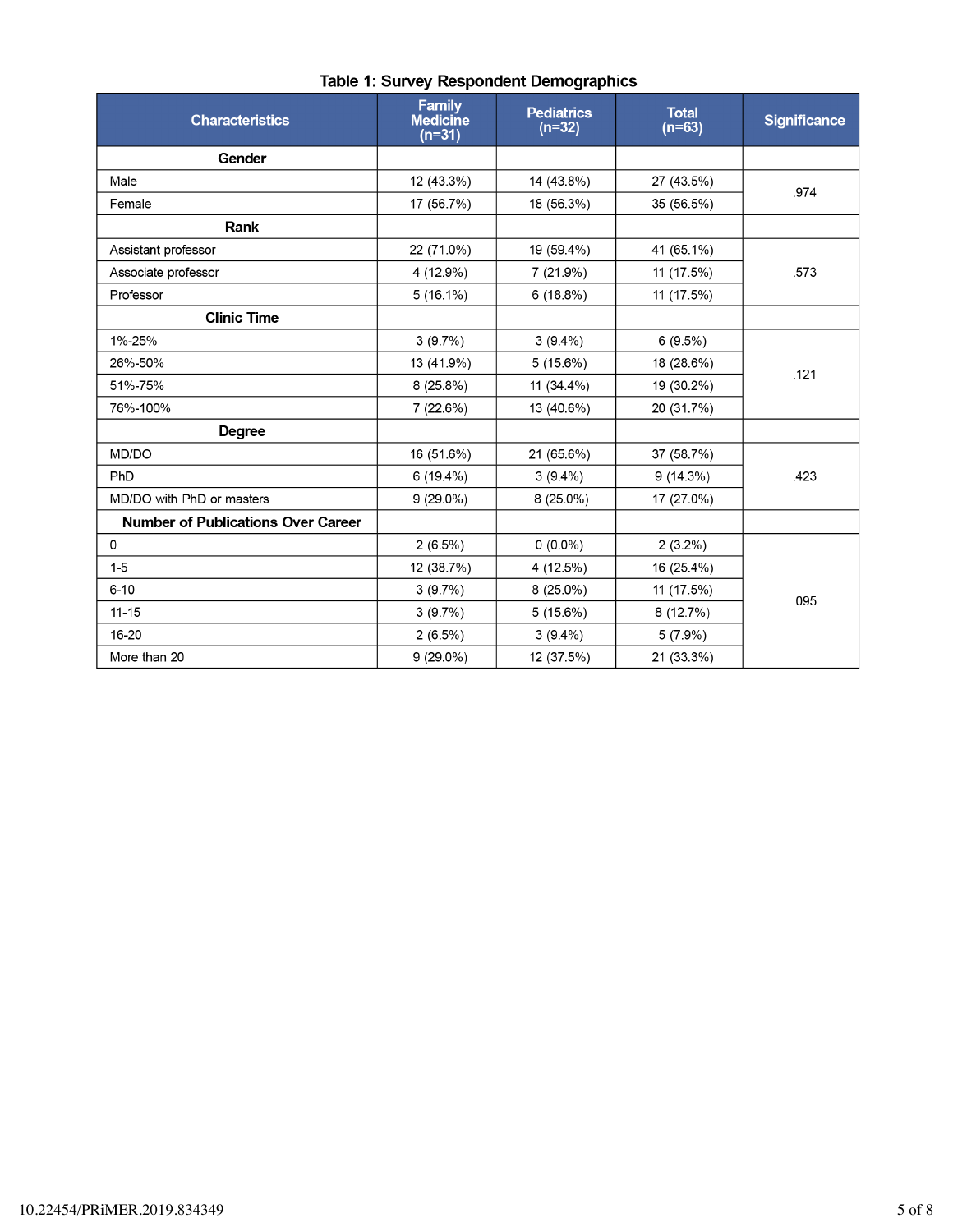| <b>Characteristics</b>                    | <b>Family</b><br><b>Medicine</b><br>$(n=31)$ | <b>Pediatrics</b><br>$(n=32)$ | <b>Total</b><br>$(n=63)$ | <b>Significance</b> |  |
|-------------------------------------------|----------------------------------------------|-------------------------------|--------------------------|---------------------|--|
| Gender                                    |                                              |                               |                          |                     |  |
| Male                                      | 12 (43.3%)                                   | 14 (43.8%)                    | 27 (43.5%)               | .974                |  |
| Female                                    | 17 (56.7%)                                   | 18 (56.3%)                    | 35 (56.5%)               |                     |  |
| Rank                                      |                                              |                               |                          |                     |  |
| Assistant professor                       | 22 (71.0%)                                   | 19 (59.4%)                    | 41 (65.1%)               | .573                |  |
| Associate professor                       | 4 (12.9%)                                    | 7(21.9%)                      | 11 (17.5%)               |                     |  |
| Professor                                 | $5(16.1\%)$                                  | 6(18.8%)                      | 11 (17.5%)               |                     |  |
| <b>Clinic Time</b>                        |                                              |                               |                          |                     |  |
| 1%-25%                                    | 3(9.7%)                                      | $3(9.4\%)$                    | $6(9.5\%)$               |                     |  |
| 26%-50%                                   | 13 (41.9%)                                   | 5(15.6%)                      | 18 (28.6%)               | .121                |  |
| 51%-75%                                   | 8(25.8%)                                     | 11 (34.4%)                    | 19 (30.2%)               |                     |  |
| 76%-100%                                  | 7(22.6%)                                     | 13 (40.6%)                    | 20 (31.7%)               |                     |  |
| <b>Degree</b>                             |                                              |                               |                          |                     |  |
| MD/DO                                     | 16 (51.6%)                                   | 21 (65.6%)                    | 37 (58.7%)               | .423                |  |
| PhD                                       | 6(19.4%)                                     | $3(9.4\%)$                    | 9(14.3%)                 |                     |  |
| MD/DO with PhD or masters                 | $9(29.0\%)$                                  | $8(25.0\%)$                   | 17 (27.0%)               |                     |  |
| <b>Number of Publications Over Career</b> |                                              |                               |                          |                     |  |
| 0                                         | $2(6.5\%)$                                   | $0(0.0\%)$                    | $2(3.2\%)$               |                     |  |
| $1 - 5$                                   | 12 (38.7%)                                   | 4 (12.5%)                     | 16 (25.4%)               | 095                 |  |
| $6 - 10$                                  | 3(9.7%)                                      | $8(25.0\%)$                   | 11 (17.5%)               |                     |  |
| $11 - 15$                                 | 3(9.7%)                                      | 5(15.6%)                      | 8(12.7%)                 |                     |  |
| 16-20                                     | $2(6.5\%)$                                   | $3(9.4\%)$                    | $5(7.9\%)$               |                     |  |
| More than 20                              | $9(29.0\%)$                                  | 12 (37.5%)                    | 21 (33.3%)               |                     |  |

### Table 1: Survey Respondent Demographics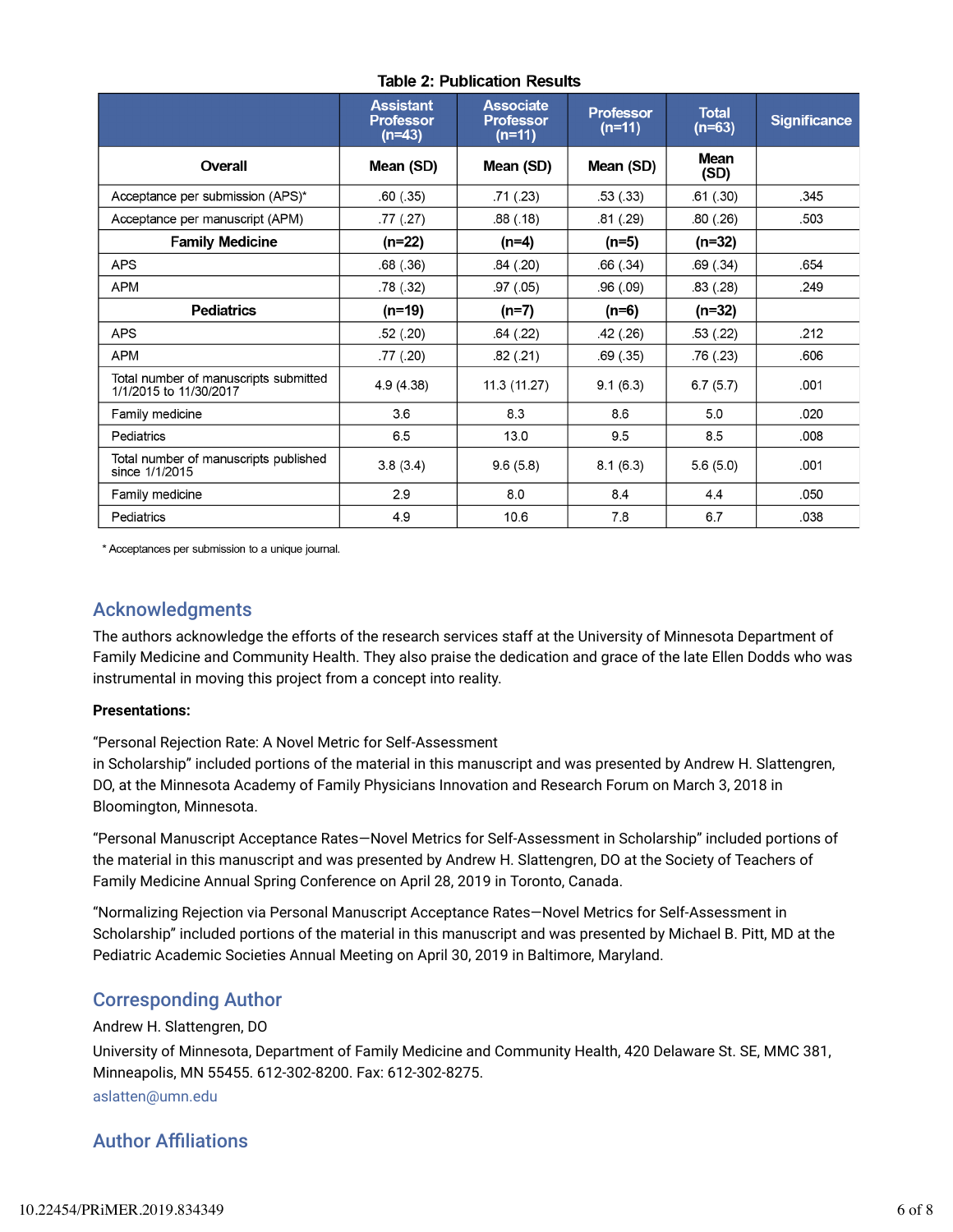|                                                                 | <b>Assistant</b><br><b>Professor</b><br>$(n=43)$ | <b>Associate</b><br><b>Professor</b><br>$(n=11)$ | <b>Professor</b><br>(n=11) | <b>Total</b><br>$(n=63)$ | <b>Significance</b> |
|-----------------------------------------------------------------|--------------------------------------------------|--------------------------------------------------|----------------------------|--------------------------|---------------------|
| Overall                                                         | Mean (SD)                                        | Mean (SD)                                        | Mean (SD)                  | <b>Mean</b><br>(SD)      |                     |
| Acceptance per submission (APS)*                                | .60(.35)                                         | .71(.23)                                         | .53(.33)                   | .61(.30)                 | .345                |
| Acceptance per manuscript (APM)                                 | .77(0.27)                                        | .88(.18)                                         | .81(.29)                   | .80(.26)                 | .503                |
| <b>Family Medicine</b>                                          | $(n=22)$                                         | (n=4)                                            | (n=5)                      | $(n=32)$                 |                     |
| <b>APS</b>                                                      | .68(.36)                                         | .84(.20)                                         | .66(.34)                   | .69(.34)                 | .654                |
| <b>APM</b>                                                      | .78 (.32)                                        | .97(.05)                                         | .96(.09)                   | .83(.28)                 | .249                |
| <b>Pediatrics</b>                                               | $(n=19)$                                         | $(n=7)$                                          | $(n=6)$                    | $(n=32)$                 |                     |
| <b>APS</b>                                                      | .52(.20)                                         | .64(.22)                                         | .42(.26)                   | .53 (.22)                | .212                |
| <b>APM</b>                                                      | .77 (.20)                                        | .82(.21)                                         | .69(.35)                   | .76 (.23)                | .606                |
| Total number of manuscripts submitted<br>1/1/2015 to 11/30/2017 | 4.9(4.38)                                        | 11.3 (11.27)                                     | 9.1(6.3)                   | 6.7(5.7)                 | .001                |
| Family medicine                                                 | 3.6                                              | 8.3                                              | 8.6                        | 5.0                      | .020                |
| Pediatrics                                                      | 6.5                                              | 13.0                                             | 9.5                        | 8.5                      | .008                |
| Total number of manuscripts published<br>since 1/1/2015         | 3.8(3.4)                                         | 9.6(5.8)                                         | 8.1(6.3)                   | 5.6(5.0)                 | .001                |
| Family medicine                                                 | 2.9                                              | 8.0                                              | 8.4                        | 4.4                      | .050                |
| Pediatrics                                                      | 4.9                                              | 10.6                                             | 7.8                        | 6.7                      | .038                |

\* Acceptances per submission to a unique journal.

### Acknowledgments

The authors acknowledge the efforts of the research services staff at the University of Minnesota Department of Family Medicine and Community Health. They also praise the dedication and grace of the late Ellen Dodds who was instrumental in moving this project from a concept into reality.

#### **Presentations:**

"Personal Rejection Rate: A Novel Metric for Self-Assessment

in Scholarship" included portions of the material in this manuscript and was presented by Andrew H. Slattengren, DO, at the Minnesota Academy of Family Physicians Innovation and Research Forum on March 3, 2018 in Bloomington, Minnesota.

"Personal Manuscript Acceptance Rates—Novel Metrics for Self-Assessment in Scholarship" included portions of the material in this manuscript and was presented by Andrew H. Slattengren, DO at the Society of Teachers of Family Medicine Annual Spring Conference on April 28, 2019 in Toronto, Canada.

"Normalizing Rejection via Personal Manuscript Acceptance Rates—Novel Metrics for Self-Assessment in Scholarship" included portions of the material in this manuscript and was presented by Michael B. Pitt, MD at the Pediatric Academic Societies Annual Meeting on April 30, 2019 in Baltimore, Maryland.

### Corresponding Author

#### Andrew H. Slattengren, DO

University of Minnesota, Department of Family Medicine and Community Health, 420 Delaware St. SE, MMC 381, Minneapolis, MN 55455. 612-302-8200. Fax: 612-302-8275. aslatten@umn.edu

### **Author Affiliations**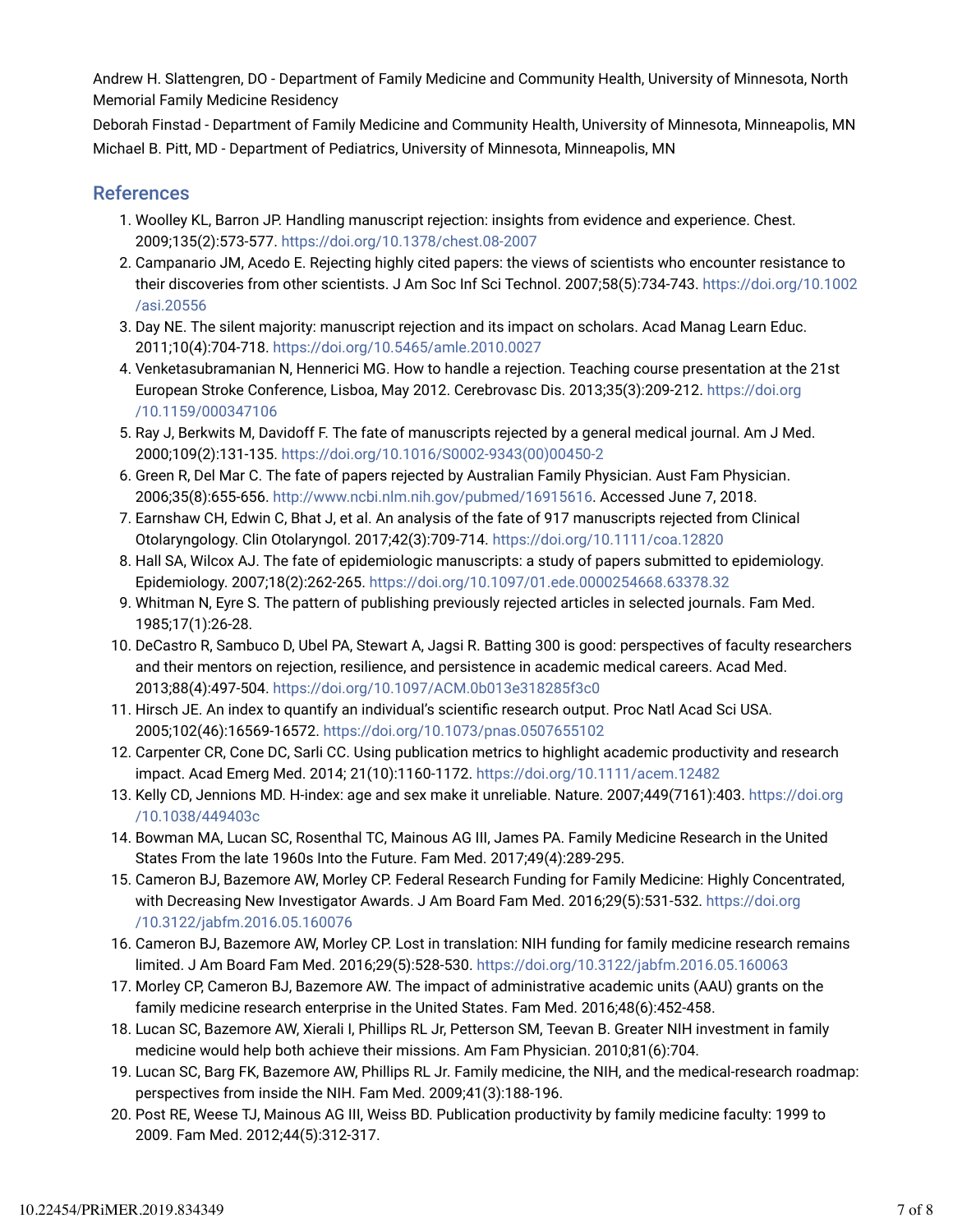Andrew H. Slattengren, DO - Department of Family Medicine and Community Health, University of Minnesota, North Memorial Family Medicine Residency

Deborah Finstad - Department of Family Medicine and Community Health, University of Minnesota, Minneapolis, MN Michael B. Pitt, MD - Department of Pediatrics, University of Minnesota, Minneapolis, MN

#### References

- 1. Woolley KL, Barron JP. Handling manuscript rejection: insights from evidence and experience. Chest. 2009;135(2):573-577. https://doi.org/10.1378/chest.08-2007
- 2. Campanario JM, Acedo E. Rejecting highly cited papers: the views of scientists who encounter resistance to their discoveries from other scientists. J Am Soc Inf Sci Technol. 2007;58(5):734-743. https://doi.org/10.1002 /asi.20556
- 3. Day NE. The silent majority: manuscript rejection and its impact on scholars. Acad Manag Learn Educ. 2011;10(4):704-718. https://doi.org/10.5465/amle.2010.0027
- 4. Venketasubramanian N, Hennerici MG. How to handle a rejection. Teaching course presentation at the 21st European Stroke Conference, Lisboa, May 2012. Cerebrovasc Dis. 2013;35(3):209-212. https://doi.org /10.1159/000347106
- 5. Ray J, Berkwits M, Davidoff F. The fate of manuscripts rejected by a general medical journal. Am J Med. 2000;109(2):131-135. https://doi.org/10.1016/S0002-9343(00)00450-2
- 6. Green R, Del Mar C. The fate of papers rejected by Australian Family Physician. Aust Fam Physician. 2006;35(8):655-656. http://www.ncbi.nlm.nih.gov/pubmed/16915616. Accessed June 7, 2018.
- 7. Earnshaw CH, Edwin C, Bhat J, et al. An analysis of the fate of 917 manuscripts rejected from Clinical Otolaryngology. Clin Otolaryngol. 2017;42(3):709-714. https://doi.org/10.1111/coa.12820
- 8. Hall SA, Wilcox AJ. The fate of epidemiologic manuscripts: a study of papers submitted to epidemiology. Epidemiology. 2007;18(2):262-265. https://doi.org/10.1097/01.ede.0000254668.63378.32
- 9. Whitman N, Eyre S. The pattern of publishing previously rejected articles in selected journals. Fam Med. 1985;17(1):26-28.
- 10. DeCastro R, Sambuco D, Ubel PA, Stewart A, Jagsi R. Batting 300 is good: perspectives of faculty researchers and their mentors on rejection, resilience, and persistence in academic medical careers. Acad Med. 2013;88(4):497-504. https://doi.org/10.1097/ACM.0b013e318285f3c0
- 11. Hirsch JE. An index to quantify an individual's scientific research output. Proc Natl Acad Sci USA. 2005;102(46):16569-16572. https://doi.org/10.1073/pnas.0507655102
- 12. Carpenter CR, Cone DC, Sarli CC. Using publication metrics to highlight academic productivity and research impact. Acad Emerg Med. 2014; 21(10):1160-1172. https://doi.org/10.1111/acem.12482
- 13. Kelly CD, Jennions MD. H-index: age and sex make it unreliable. Nature. 2007;449(7161):403. https://doi.org /10.1038/449403c
- 14. Bowman MA, Lucan SC, Rosenthal TC, Mainous AG III, James PA. Family Medicine Research in the United States From the late 1960s Into the Future. Fam Med. 2017;49(4):289-295.
- 15. Cameron BJ, Bazemore AW, Morley CP. Federal Research Funding for Family Medicine: Highly Concentrated, with Decreasing New Investigator Awards. J Am Board Fam Med. 2016;29(5):531-532. https://doi.org /10.3122/jabfm.2016.05.160076
- 16. Cameron BJ, Bazemore AW, Morley CP. Lost in translation: NIH funding for family medicine research remains limited. J Am Board Fam Med. 2016;29(5):528-530. https://doi.org/10.3122/jabfm.2016.05.160063
- 17. Morley CP, Cameron BJ, Bazemore AW. The impact of administrative academic units (AAU) grants on the family medicine research enterprise in the United States. Fam Med. 2016;48(6):452-458.
- 18. Lucan SC, Bazemore AW, Xierali I, Phillips RL Jr, Petterson SM, Teevan B. Greater NIH investment in family medicine would help both achieve their missions. Am Fam Physician. 2010;81(6):704.
- 19. Lucan SC, Barg FK, Bazemore AW, Phillips RL Jr. Family medicine, the NIH, and the medical-research roadmap: perspectives from inside the NIH. Fam Med. 2009;41(3):188-196.
- 20. Post RE, Weese TJ, Mainous AG III, Weiss BD. Publication productivity by family medicine faculty: 1999 to 2009. Fam Med. 2012;44(5):312-317.